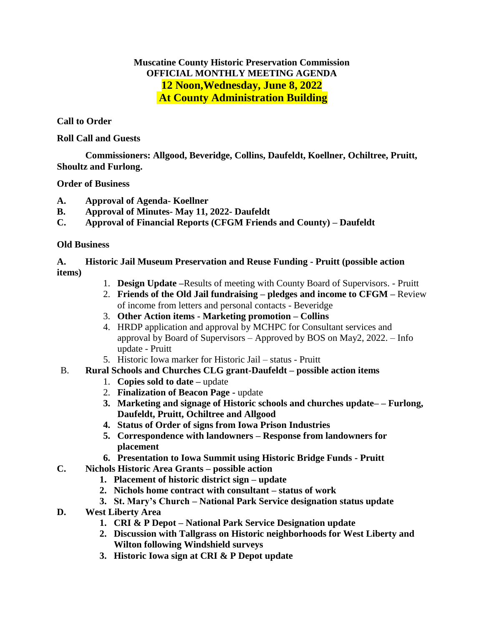# **Muscatine County Historic Preservation Commission OFFICIAL MONTHLY MEETING AGENDA 12 Noon,Wednesday, June 8, 2022 At County Administration Building**

## **Call to Order**

#### **Roll Call and Guests**

**Commissioners: Allgood, Beveridge, Collins, Daufeldt, Koellner, Ochiltree, Pruitt, Shoultz and Furlong.**

#### **Order of Business**

- **A. Approval of Agenda- Koellner**
- **B. Approval of Minutes- May 11, 2022- Daufeldt**
- **C. Approval of Financial Reports (CFGM Friends and County) – Daufeldt**

## **Old Business**

### **A. Historic Jail Museum Preservation and Reuse Funding - Pruitt (possible action items)**

- 1. **Design Update –**Results of meeting with County Board of Supervisors. Pruitt
- 2. **Friends of the Old Jail fundraising – pledges and income to CFGM –** Review of income from letters and personal contacts - Beveridge
- 3. **Other Action items - Marketing promotion – Collins**
- 4. HRDP application and approval by MCHPC for Consultant services and approval by Board of Supervisors – Approved by BOS on May2, 2022. – Info update - Pruitt
- 5. Historic Iowa marker for Historic Jail status Pruitt
- B. **Rural Schools and Churches CLG grant-Daufeldt – possible action items**
	- 1. **Copies sold to date –** update
	- 2. **Finalization of Beacon Page -** update
	- **3. Marketing and signage of Historic schools and churches update– – Furlong, Daufeldt, Pruitt, Ochiltree and Allgood**
	- **4. Status of Order of signs from Iowa Prison Industries**
	- **5. Correspondence with landowners – Response from landowners for placement**
	- **6. Presentation to Iowa Summit using Historic Bridge Funds - Pruitt**
- **C. Nichols Historic Area Grants – possible action**
	- **1. Placement of historic district sign – update**
	- **2. Nichols home contract with consultant – status of work**
	- **3. St. Mary's Church – National Park Service designation status update**
- **D. West Liberty Area** 
	- **1. CRI & P Depot – National Park Service Designation update**
	- **2. Discussion with Tallgrass on Historic neighborhoods for West Liberty and Wilton following Windshield surveys**
	- **3. Historic Iowa sign at CRI & P Depot update**